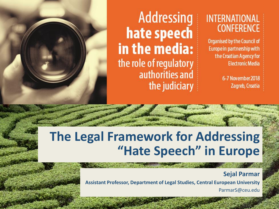## **INTERNATIONAL CONFERENCE**

**Organised by the Council of** Europein partnership with the Croatian Agency for **Electronic Media** 

> 6-7 November 2018 Zagreb, Croatia

**Addressing** hate speech in the media: the role of regulatory authorities and the judiciary

# **The Legal Framework for Addressing "Hate Speech" in Europe**

**Sejal Parmar Assistant Professor, Department of Legal Studies, Central European University** ParmarS@ceu.edu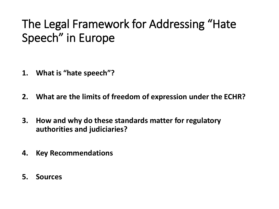## The Legal Framework for Addressing "Hate Speech" in Europe

- **1. What is "hate speech"?**
- **2. What are the limits of freedom of expression under the ECHR?**
- **3. How and why do these standards matter for regulatory authorities and judiciaries?**
- **4. Key Recommendations**
- **5. Sources**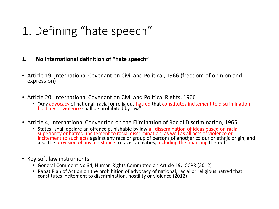## 1. Defining "hate speech"

#### **1. No international definition of "hate speech"**

- Article 19, International Covenant on Civil and Political, 1966 (freedom of opinion and expression)
- Article 20, International Covenant on Civil and Political Rights, 1966
	- "Any advocacy of national, racial or religious hatred that constitutes incitement to discrimination, hostility or violence shall be prohibited by law"
- Article 4, International Convention on the Elimination of Racial Discrimination, 1965
	- States "shall declare an offence punishable by law all dissemination of ideas based on racial superiority or hatred, incitement to racial discrimination, as well as all acts of violence or incitement to such acts against any race or group of persons of another colour or ethnic origin, and also the provision of any assistance to racist activities, including the financing thereof"
- Key soft law instruments:
	- General Comment No 34, Human Rights Committee on Article 19, ICCPR (2012)
	- Rabat Plan of Action on the prohibition of advocacy of national, racial or religious hatred that constitutes incitement to discrimination, hostility or violence (2012)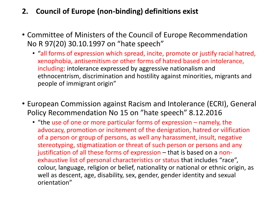### **2. Council of Europe (non-binding) definitions exist**

- Committee of Ministers of the Council of Europe Recommendation No R 97(20) 30.10.1997 on "hate speech"
	- "all forms of expression which spread, incite, promote or justify racial hatred, xenophobia, antisemitism or other forms of hatred based on intolerance, including: intolerance expressed by aggressive nationalism and ethnocentrism, discrimination and hostility against minorities, migrants and people of immigrant origin"
- European Commission against Racism and Intolerance (ECRI), General Policy Recommendation No 15 on "hate speech" 8.12.2016
	- "the use of one or more particular forms of expression namely, the advocacy, promotion or incitement of the denigration, hatred or vilification of a person or group of persons, as well any harassment, insult, negative stereotyping, stigmatization or threat of such person or persons and any justification of all these forms of expression – that is based on a nonexhaustive list of personal characteristics or status that includes "race", colour, language, religion or belief, nationality or national or ethnic origin, as well as descent, age, disability, sex, gender, gender identity and sexual orientation"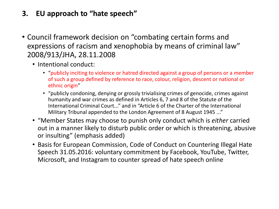### **3. EU approach to "hate speech"**

- Council framework decision on "combating certain forms and expressions of racism and xenophobia by means of criminal law" 2008/913/JHA, 28.11.2008
	- Intentional conduct:
		- "publicly inciting to violence or hatred directed against a group of persons or a member of such a group defined by reference to race, colour, religion, descent or national or ethnic origin"
		- "publicly condoning, denying or grossly trivialising crimes of genocide, crimes against humanity and war crimes as defined in Articles 6, 7 and 8 of the Statute of the International Criminal Court..." and in "Article 6 of the Charter of the International Military Tribunal appended to the London Agreement of 8 August 1945 ..."
	- "Member States may choose to punish only conduct which is *either* carried out in a manner likely to disturb public order or which is threatening, abusive or insulting" (emphasis added)
	- Basis for European Commission, Code of Conduct on Countering Illegal Hate Speech 31.05.2016: voluntary commitment by Facebook, YouTube, Twitter, Microsoft, and Instagram to counter spread of hate speech online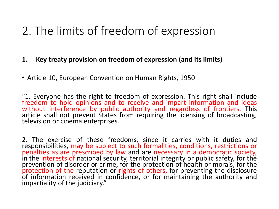## 2. The limits of freedom of expression

#### **1. Key treaty provision on freedom of expression (and its limits)**

• Article 10, European Convention on Human Rights, 1950

"1. Everyone has the right to freedom of expression. This right shall include freedom to hold opinions and to receive and impart information and ideas without interference by public authority and regardless of frontiers. This article shall not prevent States from requiring the licensing of broadcasting, television or cinema enterprises.

2. The exercise of these freedoms, since it carries with it duties and responsibilities, may be subject to such formalities, conditions, restrictions or penalties as are prescribed by law and are necessary in a democratic society, in the interests of national security, territorial integrity or public safety, for the prevention of disorder or crime, for the protection of health or morals, for the protection of the reputation or rights of others, for preventing the disclosure of information received in confidence, or for maintaining the authority and impartiality of the judiciary."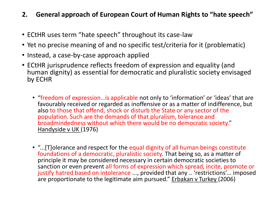#### **2. General approach of European Court of Human Rights to "hate speech"**

- ECtHR uses term "hate speech" throughout its case-law
- Yet no precise meaning of and no specific test/criteria for it (problematic)
- Instead, a case-by-case approach applied
- ECtHR jurisprudence reflects freedom of expression and equality (and human dignity) as essential for democratic and pluralistic society envisaged by ECHR
	- "freedom of expression…is applicable not only to 'information' or 'ideas' that are favourably received or regarded as inoffensive or as a matter of indifference, but also to those that offend, shock or disturb the State or any sector of the population. Such are the demands of that pluralism, tolerance and broadmindedness without which there would be no democratic society." Handyside v UK (1976)
	- "...[T]olerance and respect for the equal dignity of all human beings constitute foundations of a democratic, pluralistic society. That being so, as a matter of principle it may be considered necessary in certain democratic societies to sanction or even prevent all forms of expression which spread, incite, promote or justify hatred based on intolerance ..., provided that any .. 'restrictions'... imposed are proportionate to the legitimate aim pursued." Erbakan v Turkey (2006)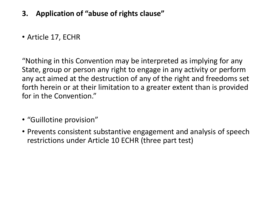- **3. Application of "abuse of rights clause"**
- Article 17, ECHR

"Nothing in this Convention may be interpreted as implying for any State, group or person any right to engage in any activity or perform any act aimed at the destruction of any of the right and freedoms set forth herein or at their limitation to a greater extent than is provided for in the Convention."

- "Guillotine provision"
- Prevents consistent substantive engagement and analysis of speech restrictions under Article 10 ECHR (three part test)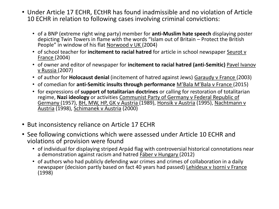- Under Article 17 ECHR, ECtHR has found inadmissible and no violation of Article 10 ECHR in relation to following cases involving criminal convictions:
	- of a BNP (extreme right wing party) member for **anti-Muslim hate speech** displaying poster depicting Twin Towers in flame with the words "Islam out of Britain – Protect the British People" in window of his flat Norwood v UK (2004)
	- of school teacher for **incitement to racial hatred** for article in school newspaper Seurot v France (2004)
	- of owner and editor of newspaper for **incitement to racial hatred (anti-Semitic)** Pavel Ivanov v Russia (2007)
	- of author for **Holocaust denial** (incitement of hatred against Jews) Garaudy v France (2003)
	- of comedian for **anti-Semitic insults through performance** M'Bala M'Bala v France (2015)
	- for expressions of **support of totalitarian doctrines** or calling for restoration of totalitarian regime, **Nazi ideology** or activities Communist Party of Germany v Federal Republic of Germany (1957), BH, MW, HP, GK v Austria (1989), Honsik v Austria (1995), Nachtmann v Austria (1998), Schimanek v Austria (2000)
- But inconsistency reliance on Article 17 ECHR
- See following convictions which were assessed under Article 10 ECHR and violations of provision were found
	- of individual for displaying striped Arpád flag with controversial historical connotations near a demonstration against racism and hatred Fáber v Hungary (2012)
	- of authors who had publicly defending war crimes and crimes of collaboration in a daily newspaper (decision partly based on fact 40 years had passed) Lehideux v Isorni v France (1998)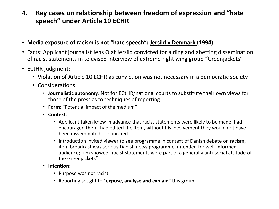- **4. Key cases on relationship between freedom of expression and "hate speech" under Article 10 ECHR**
- **Media exposure of racism is not "hate speech": Jersild v Denmark (1994)**
- Facts: Applicant journalist Jens Olaf Jersild convicted for aiding and abetting dissemination of racist statements in televised interview of extreme right wing group "Greenjackets"
- ECtHR judgment:
	- Violation of Article 10 ECHR as conviction was not necessary in a democratic society
	- Considerations:
		- **Journalistic autonomy**: Not for ECtHR/national courts to substitute their own views for those of the press as to techniques of reporting
		- **Form**: "Potential impact of the medium"
		- **Context**:
			- Applicant taken knew in advance that racist statements were likely to be made, had encouraged them, had edited the item, without his involvement they would not have been disseminated or punished
			- Introduction invited viewer to see programme in context of Danish debate on racism, item broadcast was serious Danish news programme, intended for well-informed audience; film showed "racist statements were part of a generally anti-social attitude of the Greenjackets"
		- **Intention**:
			- Purpose was not racist
			- Reporting sought to "**expose, analyse and explain**" this group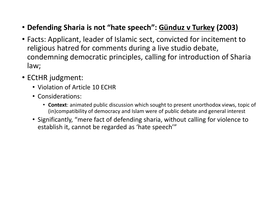### • **Defending Sharia is not "hate speech": Günduz v Turkey (2003)**

- Facts: Applicant, leader of Islamic sect, convicted for incitement to religious hatred for comments during a live studio debate, condemning democratic principles, calling for introduction of Sharia law;
- ECtHR judgment:
	- Violation of Article 10 ECHR
	- Considerations:
		- **Context**: animated public discussion which sought to present unorthodox views, topic of (in)compatibility of democracy and Islam were of public debate and general interest
	- Significantly, "mere fact of defending sharia, without calling for violence to establish it, cannot be regarded as 'hate speech'"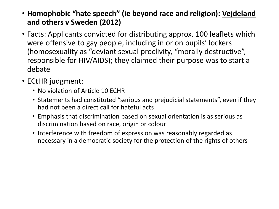- **Homophobic "hate speech" (ie beyond race and religion): Vejdeland and others v Sweden (2012)**
- Facts: Applicants convicted for distributing approx. 100 leaflets which were offensive to gay people, including in or on pupils' lockers (homosexuality as "deviant sexual proclivity, "morally destructive", responsible for HIV/AIDS); they claimed their purpose was to start a debate
- ECtHR judgment:
	- No violation of Article 10 FCHR
	- Statements had constituted "serious and prejudicial statements", even if they had not been a direct call for hateful acts
	- Emphasis that discrimination based on sexual orientation is as serious as discrimination based on race, origin or colour
	- Interference with freedom of expression was reasonably regarded as necessary in a democratic society for the protection of the rights of others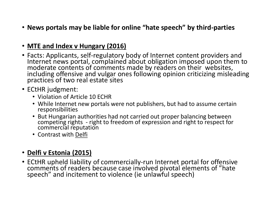• **News portals may be liable for online "hate speech" by third-parties**

#### • **MTE and Index v Hungary (2016)**

- Facts: Applicants, self-regulatory body of Internet content providers and Internet news portal, complained about obligation imposed upon them to moderate contents of comments made by readers on their websites, including offensive and vulgar ones following opinion criticizing misleading practices of two real estate sites
- ECtHR judgment:
	- Violation of Article 10 ECHR
	- While Internet new portals were not publishers, but had to assume certain responsibilities
	- But Hungarian authorities had not carried out proper balancing between competing rights - right to freedom of expression and right to respect for commercial reputation
	- Contrast with Delfi

### • **Delfi v Estonia (2015)**

• ECtHR upheld liability of commercially-run Internet portal for offensive comments of readers because case involved pivotal elements of "hate speech" and incitement to violence (ie unlawful speech)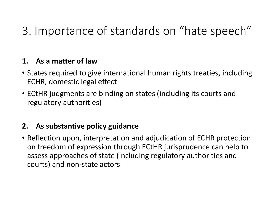## 3. Importance of standards on "hate speech"

### **1. As a matter of law**

- States required to give international human rights treaties, including ECHR, domestic legal effect
- ECtHR judgments are binding on states (including its courts and regulatory authorities)

### **2. As substantive policy guidance**

• Reflection upon, interpretation and adjudication of ECHR protection on freedom of expression through ECtHR jurisprudence can help to assess approaches of state (including regulatory authorities and courts) and non-state actors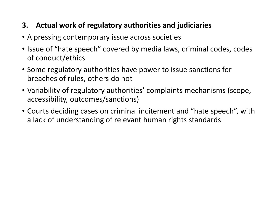### **3. Actual work of regulatory authorities and judiciaries**

- A pressing contemporary issue across societies
- Issue of "hate speech" covered by media laws, criminal codes, codes of conduct/ethics
- Some regulatory authorities have power to issue sanctions for breaches of rules, others do not
- Variability of regulatory authorities' complaints mechanisms (scope, accessibility, outcomes/sanctions)
- Courts deciding cases on criminal incitement and "hate speech", with a lack of understanding of relevant human rights standards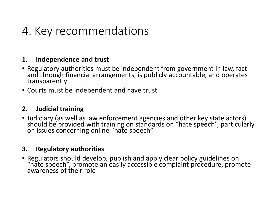## 4. Key recommendations

#### **1. Independence and trust**

- Regulatory authorities must be independent from government in law, fact and through financial arrangements, is publicly accountable, and operates transparently
- Courts must be independent and have trust

#### **2. Judicial training**

• Judiciary (as well as law enforcement agencies and other key state actors) should be provided with training on standards on "hate speech", particularly on issues concerning online "hate speech"

#### **3. Regulatory authorities**

• Regulators should develop, publish and apply clear policy guidelines on "hate speech", promote an easily accessible complaint procedure, promote awareness of their role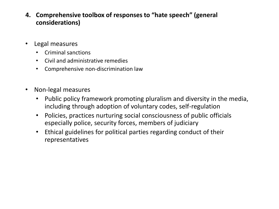- **4. Comprehensive toolbox of responses to "hate speech" (general considerations)**
- Legal measures
	- Criminal sanctions
	- Civil and administrative remedies
	- Comprehensive non-discrimination law
- Non-legal measures
	- Public policy framework promoting pluralism and diversity in the media, including through adoption of voluntary codes, self-regulation
	- Policies, practices nurturing social consciousness of public officials especially police, security forces, members of judiciary
	- Ethical guidelines for political parties regarding conduct of their representatives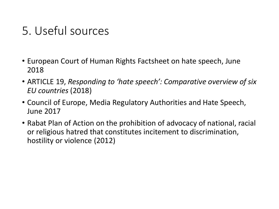## 5. Useful sources

- European Court of Human Rights Factsheet on hate speech, June 2018
- ARTICLE 19, *Responding to 'hate speech': Comparative overview of six EU countries* (2018)
- Council of Europe, Media Regulatory Authorities and Hate Speech, June 2017
- Rabat Plan of Action on the prohibition of advocacy of national, racial or religious hatred that constitutes incitement to discrimination, hostility or violence (2012)